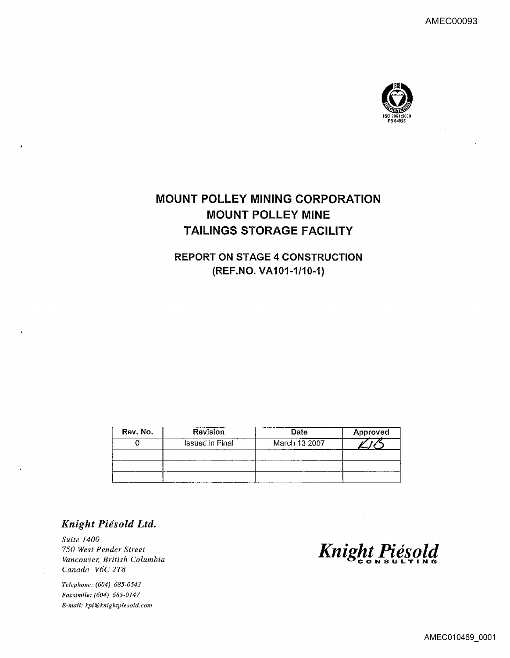

### **MOUNT POLLEY MINING CORPORATION MOUNT POLLEY MINE TAILINGS STORAGE FACILITY**

**REPORT ON STAGE 4 CONSTRUCTION** (REF.NO. VA101-1/10-1)

| Rev. No. | Revision               | <b>Date</b>   | Approved |  |  |
|----------|------------------------|---------------|----------|--|--|
|          | <b>Issued in Final</b> | March 13 2007 |          |  |  |
|          |                        |               |          |  |  |
|          |                        |               |          |  |  |
|          |                        |               |          |  |  |

### Knight Piésold Ltd.

Suite 1400 750 West Pender Street Vancouver, British Columbia Canada V6C 2T8

Telephone: (604) 685-0543 Facsimile: (604) 685-0147 E-mail: kpl@knightpiesold.com

Knight Piésold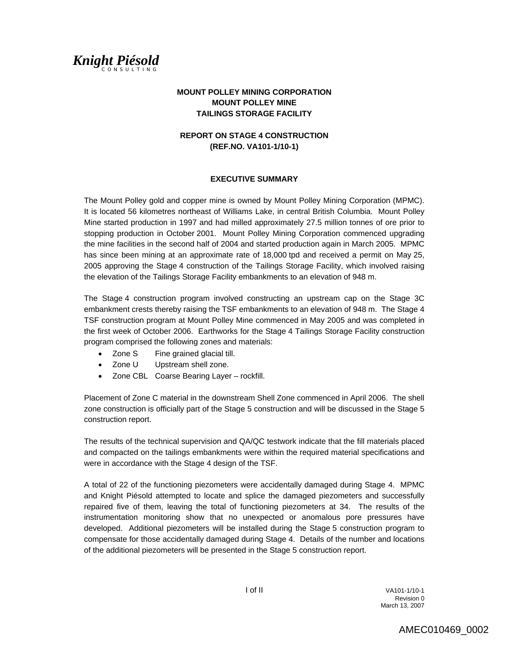

### **MOUNT POLLEY MINING CORPORATION MOUNT POLLEY MINE TAILINGS STORAGE FACILITY**

### **REPORT ON STAGE 4 CONSTRUCTION (REF.NO. VA101-1/10-1)**

#### **EXECUTIVE SUMMARY**

The Mount Polley gold and copper mine is owned by Mount Polley Mining Corporation (MPMC). It is located 56 kilometres northeast of Williams Lake, in central British Columbia. Mount Polley Mine started production in 1997 and had milled approximately 27.5 million tonnes of ore prior to stopping production in October 2001. Mount Polley Mining Corporation commenced upgrading the mine facilities in the second half of 2004 and started production again in March 2005. MPMC has since been mining at an approximate rate of 18,000 tpd and received a permit on May 25, 2005 approving the Stage 4 construction of the Tailings Storage Facility, which involved raising the elevation of the Tailings Storage Facility embankments to an elevation of 948 m.

The Stage 4 construction program involved constructing an upstream cap on the Stage 3C embankment crests thereby raising the TSF embankments to an elevation of 948 m. The Stage 4 TSF construction program at Mount Polley Mine commenced in May 2005 and was completed in the first week of October 2006. Earthworks for the Stage 4 Tailings Storage Facility construction program comprised the following zones and materials:

- Zone S Fine grained glacial till.
- Zone U Upstream shell zone.
- Zone CBL Coarse Bearing Layer rockfill.

Placement of Zone C material in the downstream Shell Zone commenced in April 2006. The shell zone construction is officially part of the Stage 5 construction and will be discussed in the Stage 5 construction report.

The results of the technical supervision and QA/QC testwork indicate that the fill materials placed and compacted on the tailings embankments were within the required material specifications and were in accordance with the Stage 4 design of the TSF.

A total of 22 of the functioning piezometers were accidentally damaged during Stage 4. MPMC and Knight Piésold attempted to locate and splice the damaged piezometers and successfully repaired five of them, leaving the total of functioning piezometers at 34. The results of the instrumentation monitoring show that no unexpected or anomalous pore pressures have developed. Additional piezometers will be installed during the Stage 5 construction program to compensate for those accidentally damaged during Stage 4. Details of the number and locations of the additional piezometers will be presented in the Stage 5 construction report.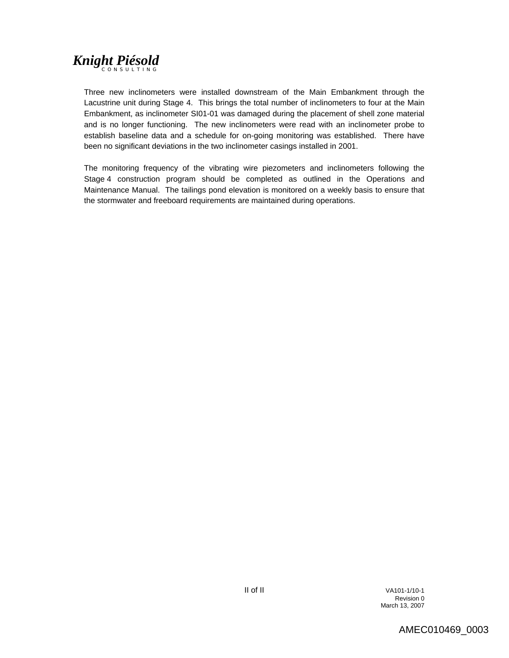Three new inclinometers were installed downstream of the Main Embankment through the Lacustrine unit during Stage 4. This brings the total number of inclinometers to four at the Main Embankment, as inclinometer SI01-01 was damaged during the placement of shell zone material and is no longer functioning. The new inclinometers were read with an inclinometer probe to establish baseline data and a schedule for on-going monitoring was established. There have been no significant deviations in the two inclinometer casings installed in 2001.

The monitoring frequency of the vibrating wire piezometers and inclinometers following the Stage 4 construction program should be completed as outlined in the Operations and Maintenance Manual. The tailings pond elevation is monitored on a weekly basis to ensure that the stormwater and freeboard requirements are maintained during operations.

 II of II VA101-1/10-1 **Revision 0 Revision 0** March 13, 2007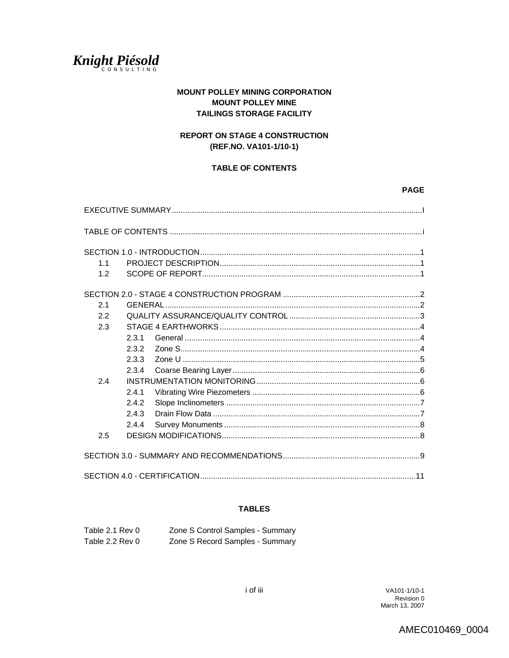### **MOUNT POLLEY MINING CORPORATION MOUNT POLLEY MINE TAILINGS STORAGE FACILITY**

### **REPORT ON STAGE 4 CONSTRUCTION** (REF.NO. VA101-1/10-1)

### **TABLE OF CONTENTS**

#### $1.1$  $1.2$  $2.1$  $2.2$  $2.3$  $2.3.1$  $2.3.2$  $2.3.3$  $2.3.4$  $2.4$  $2.4.1$  $2.4.2$  $2.4.3$ 2.4.4  $2.5$

### **TABLES**

| Table 2.1 Rev 0 | Zone S Control Samples - Summary |
|-----------------|----------------------------------|
| Table 2.2 Rev 0 | Zone S Record Samples - Summary  |

AMEC010469\_0004

**PAGE**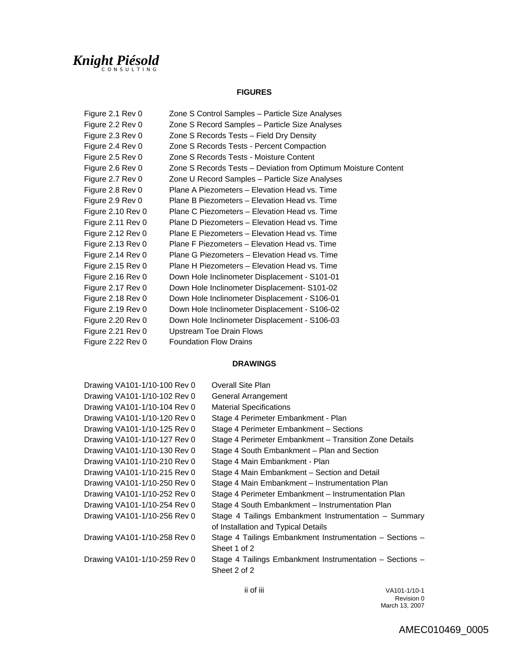### **FIGURES**

| Figure 2.1 Rev 0  | Zone S Control Samples - Particle Size Analyses                |
|-------------------|----------------------------------------------------------------|
| Figure 2.2 Rev 0  | Zone S Record Samples - Particle Size Analyses                 |
| Figure 2.3 Rev 0  | Zone S Records Tests – Field Dry Density                       |
| Figure 2.4 Rev 0  | Zone S Records Tests - Percent Compaction                      |
| Figure 2.5 Rev 0  | Zone S Records Tests - Moisture Content                        |
| Figure 2.6 Rev 0  | Zone S Records Tests - Deviation from Optimum Moisture Content |
| Figure 2.7 Rev 0  | Zone U Record Samples – Particle Size Analyses                 |
| Figure 2.8 Rev 0  | Plane A Piezometers - Elevation Head vs. Time                  |
| Figure 2.9 Rev 0  | Plane B Piezometers - Elevation Head vs. Time                  |
| Figure 2.10 Rev 0 | Plane C Piezometers – Elevation Head vs. Time                  |
| Figure 2.11 Rev 0 | Plane D Piezometers – Elevation Head vs. Time                  |
| Figure 2.12 Rev 0 | Plane E Piezometers – Elevation Head vs. Time                  |
| Figure 2.13 Rev 0 | Plane F Piezometers - Elevation Head vs. Time                  |
| Figure 2.14 Rev 0 | Plane G Piezometers – Elevation Head vs. Time                  |
| Figure 2.15 Rev 0 | Plane H Piezometers - Elevation Head vs. Time                  |
| Figure 2.16 Rev 0 | Down Hole Inclinometer Displacement - S101-01                  |
| Figure 2.17 Rev 0 | Down Hole Inclinometer Displacement- S101-02                   |
| Figure 2.18 Rev 0 | Down Hole Inclinometer Displacement - S106-01                  |
| Figure 2.19 Rev 0 | Down Hole Inclinometer Displacement - S106-02                  |
| Figure 2.20 Rev 0 | Down Hole Inclinometer Displacement - S106-03                  |
| Figure 2.21 Rev 0 | <b>Upstream Toe Drain Flows</b>                                |
| Figure 2.22 Rev 0 | <b>Foundation Flow Drains</b>                                  |

### **DRAWINGS**

| Overall Site Plan                                        |
|----------------------------------------------------------|
| General Arrangement                                      |
| <b>Material Specifications</b>                           |
| Stage 4 Perimeter Embankment - Plan                      |
| Stage 4 Perimeter Embankment - Sections                  |
| Stage 4 Perimeter Embankment - Transition Zone Details   |
| Stage 4 South Embankment – Plan and Section              |
| Stage 4 Main Embankment - Plan                           |
| Stage 4 Main Embankment – Section and Detail             |
| Stage 4 Main Embankment – Instrumentation Plan           |
| Stage 4 Perimeter Embankment – Instrumentation Plan      |
| Stage 4 South Embankment - Instrumentation Plan          |
| Stage 4 Tailings Embankment Instrumentation - Summary    |
| of Installation and Typical Details                      |
| Stage 4 Tailings Embankment Instrumentation - Sections - |
| Sheet 1 of 2                                             |
| Stage 4 Tailings Embankment Instrumentation - Sections - |
| Sheet 2 of 2                                             |
|                                                          |

 ii of iii VA101-1/10-1 **Revision 0 Revision 0** March 13, 2007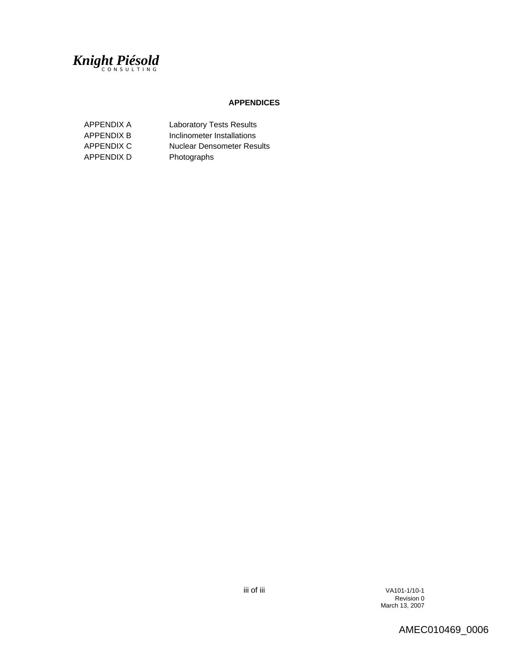

#### **APPENDICES**

| APPENDIX A        | <b>Laboratory Tests Results</b>   |
|-------------------|-----------------------------------|
| <b>APPENDIX B</b> | Inclinometer Installations        |
| APPENDIX C        | <b>Nuclear Densometer Results</b> |
| APPENDIX D        | Photographs                       |

 iii of iii VA101-1/10-1 **Revision 0 Revision 0** March 13, 2007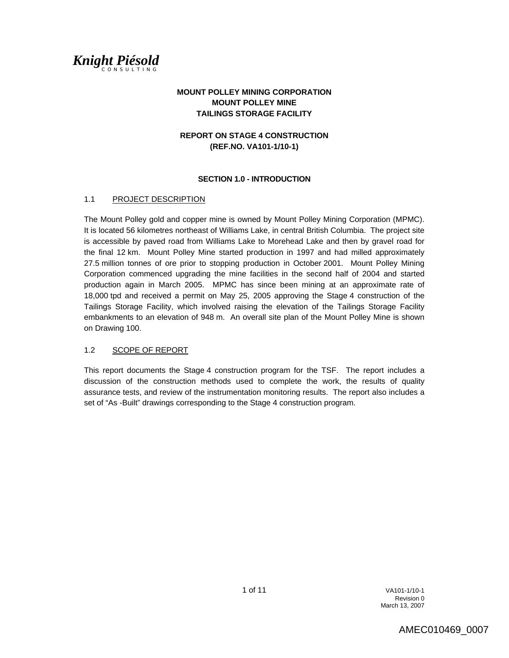

### **MOUNT POLLEY MINING CORPORATION MOUNT POLLEY MINE TAILINGS STORAGE FACILITY**

### **REPORT ON STAGE 4 CONSTRUCTION (REF.NO. VA101-1/10-1)**

#### **SECTION 1.0 - INTRODUCTION**

### 1.1 PROJECT DESCRIPTION

The Mount Polley gold and copper mine is owned by Mount Polley Mining Corporation (MPMC). It is located 56 kilometres northeast of Williams Lake, in central British Columbia. The project site is accessible by paved road from Williams Lake to Morehead Lake and then by gravel road for the final 12 km. Mount Polley Mine started production in 1997 and had milled approximately 27.5 million tonnes of ore prior to stopping production in October 2001. Mount Polley Mining Corporation commenced upgrading the mine facilities in the second half of 2004 and started production again in March 2005. MPMC has since been mining at an approximate rate of 18,000 tpd and received a permit on May 25, 2005 approving the Stage 4 construction of the Tailings Storage Facility, which involved raising the elevation of the Tailings Storage Facility embankments to an elevation of 948 m. An overall site plan of the Mount Polley Mine is shown on Drawing 100.

### 1.2 SCOPE OF REPORT

This report documents the Stage 4 construction program for the TSF. The report includes a discussion of the construction methods used to complete the work, the results of quality assurance tests, and review of the instrumentation monitoring results. The report also includes a set of "As -Built" drawings corresponding to the Stage 4 construction program.

 1 of 11 VA101-1/10-1 **Revision 0 Revision 0** March 13, 2007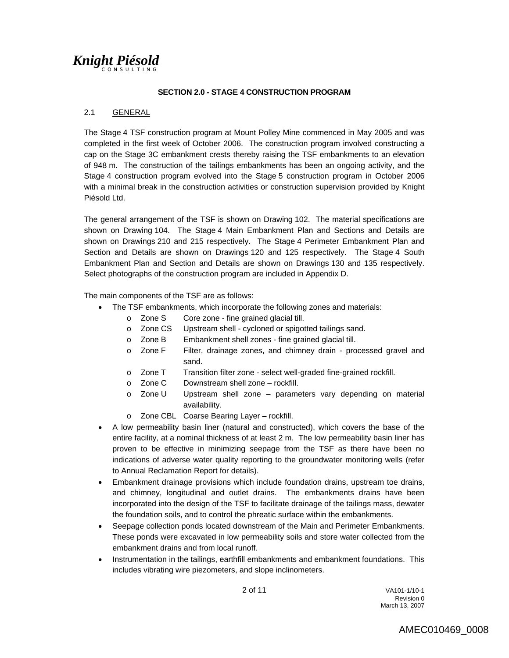### **SECTION 2.0 - STAGE 4 CONSTRUCTION PROGRAM**

### 2.1 GENERAL

The Stage 4 TSF construction program at Mount Polley Mine commenced in May 2005 and was completed in the first week of October 2006. The construction program involved constructing a cap on the Stage 3C embankment crests thereby raising the TSF embankments to an elevation of 948 m. The construction of the tailings embankments has been an ongoing activity, and the Stage 4 construction program evolved into the Stage 5 construction program in October 2006 with a minimal break in the construction activities or construction supervision provided by Knight Piésold Ltd.

The general arrangement of the TSF is shown on Drawing 102. The material specifications are shown on Drawing 104. The Stage 4 Main Embankment Plan and Sections and Details are shown on Drawings 210 and 215 respectively. The Stage 4 Perimeter Embankment Plan and Section and Details are shown on Drawings 120 and 125 respectively. The Stage 4 South Embankment Plan and Section and Details are shown on Drawings 130 and 135 respectively. Select photographs of the construction program are included in Appendix D.

The main components of the TSF are as follows:

- The TSF embankments, which incorporate the following zones and materials:
	- o Zone S Core zone fine grained glacial till.
	- o Zone CS Upstream shell cycloned or spigotted tailings sand.
	- o Zone B Embankment shell zones fine grained glacial till.
	- o Zone F Filter, drainage zones, and chimney drain processed gravel and sand.
	- o Zone T Transition filter zone select well-graded fine-grained rockfill.
	- o Zone C Downstream shell zone rockfill.
	- o Zone U Upstream shell zone parameters vary depending on material availability.
	- o Zone CBL Coarse Bearing Layer rockfill.
- A low permeability basin liner (natural and constructed), which covers the base of the entire facility, at a nominal thickness of at least 2 m. The low permeability basin liner has proven to be effective in minimizing seepage from the TSF as there have been no indications of adverse water quality reporting to the groundwater monitoring wells (refer to Annual Reclamation Report for details).
- Embankment drainage provisions which include foundation drains, upstream toe drains, and chimney, longitudinal and outlet drains. The embankments drains have been incorporated into the design of the TSF to facilitate drainage of the tailings mass, dewater the foundation soils, and to control the phreatic surface within the embankments.
- Seepage collection ponds located downstream of the Main and Perimeter Embankments. These ponds were excavated in low permeability soils and store water collected from the embankment drains and from local runoff.
- Instrumentation in the tailings, earthfill embankments and embankment foundations. This includes vibrating wire piezometers, and slope inclinometers.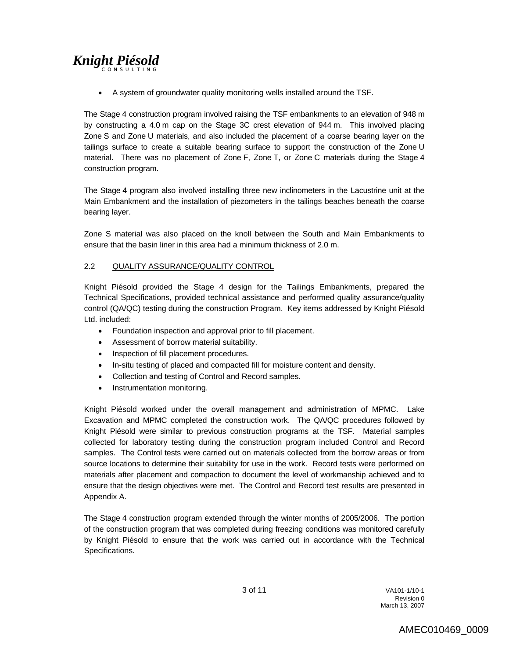• A system of groundwater quality monitoring wells installed around the TSF.

The Stage 4 construction program involved raising the TSF embankments to an elevation of 948 m by constructing a 4.0 m cap on the Stage 3C crest elevation of 944 m. This involved placing Zone S and Zone U materials, and also included the placement of a coarse bearing layer on the tailings surface to create a suitable bearing surface to support the construction of the Zone U material. There was no placement of Zone F, Zone T, or Zone C materials during the Stage 4 construction program.

The Stage 4 program also involved installing three new inclinometers in the Lacustrine unit at the Main Embankment and the installation of piezometers in the tailings beaches beneath the coarse bearing layer.

Zone S material was also placed on the knoll between the South and Main Embankments to ensure that the basin liner in this area had a minimum thickness of 2.0 m.

### 2.2 QUALITY ASSURANCE/QUALITY CONTROL

Knight Piésold provided the Stage 4 design for the Tailings Embankments, prepared the Technical Specifications, provided technical assistance and performed quality assurance/quality control (QA/QC) testing during the construction Program. Key items addressed by Knight Piésold Ltd. included:

- Foundation inspection and approval prior to fill placement.
- Assessment of borrow material suitability.
- Inspection of fill placement procedures.
- In-situ testing of placed and compacted fill for moisture content and density.
- Collection and testing of Control and Record samples.
- Instrumentation monitoring.

Knight Piésold worked under the overall management and administration of MPMC. Lake Excavation and MPMC completed the construction work. The QA/QC procedures followed by Knight Piésold were similar to previous construction programs at the TSF. Material samples collected for laboratory testing during the construction program included Control and Record samples. The Control tests were carried out on materials collected from the borrow areas or from source locations to determine their suitability for use in the work. Record tests were performed on materials after placement and compaction to document the level of workmanship achieved and to ensure that the design objectives were met. The Control and Record test results are presented in Appendix A.

The Stage 4 construction program extended through the winter months of 2005/2006. The portion of the construction program that was completed during freezing conditions was monitored carefully by Knight Piésold to ensure that the work was carried out in accordance with the Technical Specifications.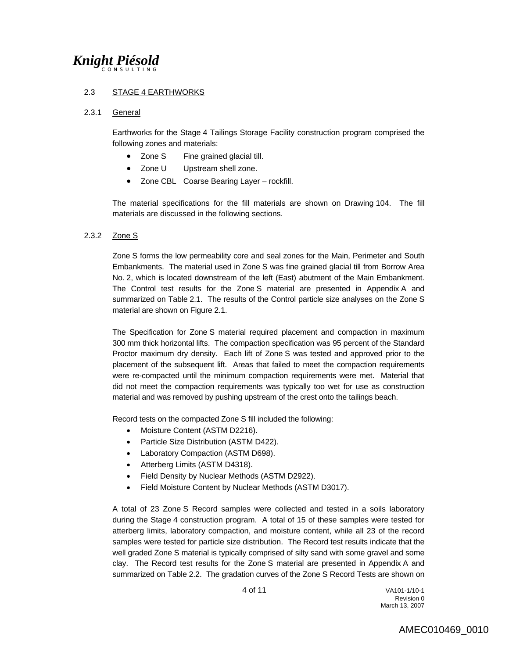### 2.3 STAGE 4 EARTHWORKS

#### 2.3.1 General

Earthworks for the Stage 4 Tailings Storage Facility construction program comprised the following zones and materials:

- Zone S Fine grained glacial till.
- Zone U Upstream shell zone.
- Zone CBL Coarse Bearing Layer rockfill.

The material specifications for the fill materials are shown on Drawing 104. The fill materials are discussed in the following sections.

### 2.3.2 Zone S

Zone S forms the low permeability core and seal zones for the Main, Perimeter and South Embankments. The material used in Zone S was fine grained glacial till from Borrow Area No. 2, which is located downstream of the left (East) abutment of the Main Embankment. The Control test results for the Zone S material are presented in Appendix A and summarized on Table 2.1. The results of the Control particle size analyses on the Zone S material are shown on Figure 2.1.

The Specification for Zone S material required placement and compaction in maximum 300 mm thick horizontal lifts. The compaction specification was 95 percent of the Standard Proctor maximum dry density. Each lift of Zone S was tested and approved prior to the placement of the subsequent lift. Areas that failed to meet the compaction requirements were re-compacted until the minimum compaction requirements were met. Material that did not meet the compaction requirements was typically too wet for use as construction material and was removed by pushing upstream of the crest onto the tailings beach.

Record tests on the compacted Zone S fill included the following:

- Moisture Content (ASTM D2216).
- Particle Size Distribution (ASTM D422).
- Laboratory Compaction (ASTM D698).
- Atterberg Limits (ASTM D4318).
- Field Density by Nuclear Methods (ASTM D2922).
- Field Moisture Content by Nuclear Methods (ASTM D3017).

A total of 23 Zone S Record samples were collected and tested in a soils laboratory during the Stage 4 construction program. A total of 15 of these samples were tested for atterberg limits, laboratory compaction, and moisture content, while all 23 of the record samples were tested for particle size distribution. The Record test results indicate that the well graded Zone S material is typically comprised of silty sand with some gravel and some clay. The Record test results for the Zone S material are presented in Appendix A and summarized on Table 2.2. The gradation curves of the Zone S Record Tests are shown on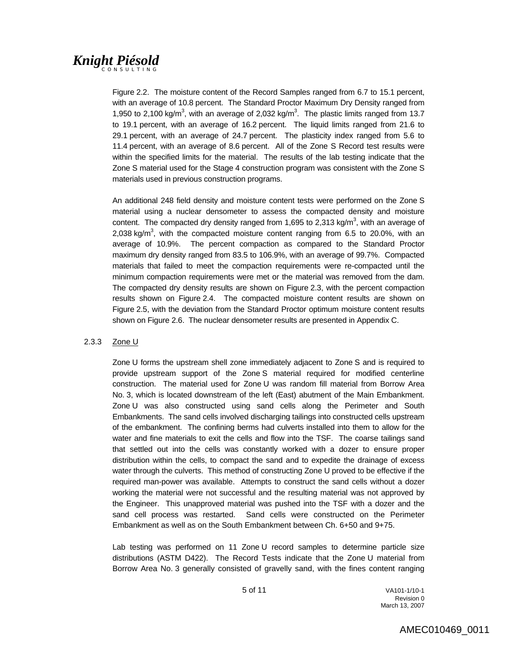Figure 2.2. The moisture content of the Record Samples ranged from 6.7 to 15.1 percent, with an average of 10.8 percent. The Standard Proctor Maximum Dry Density ranged from 1,950 to 2,100 kg/m<sup>3</sup>, with an average of 2,032 kg/m<sup>3</sup>. The plastic limits ranged from 13.7 to 19.1 percent, with an average of 16.2 percent. The liquid limits ranged from 21.6 to 29.1 percent, with an average of 24.7 percent. The plasticity index ranged from 5.6 to 11.4 percent, with an average of 8.6 percent. All of the Zone S Record test results were within the specified limits for the material. The results of the lab testing indicate that the Zone S material used for the Stage 4 construction program was consistent with the Zone S materials used in previous construction programs.

An additional 248 field density and moisture content tests were performed on the Zone S material using a nuclear densometer to assess the compacted density and moisture content. The compacted dry density ranged from 1,695 to 2,313 kg/m<sup>3</sup>, with an average of 2,038 kg/m<sup>3</sup>, with the compacted moisture content ranging from 6.5 to 20.0%, with an average of 10.9%. The percent compaction as compared to the Standard Proctor maximum dry density ranged from 83.5 to 106.9%, with an average of 99.7%. Compacted materials that failed to meet the compaction requirements were re-compacted until the minimum compaction requirements were met or the material was removed from the dam. The compacted dry density results are shown on Figure 2.3, with the percent compaction results shown on Figure 2.4. The compacted moisture content results are shown on Figure 2.5, with the deviation from the Standard Proctor optimum moisture content results shown on Figure 2.6. The nuclear densometer results are presented in Appendix C.

### 2.3.3 Zone U

Zone U forms the upstream shell zone immediately adjacent to Zone S and is required to provide upstream support of the Zone S material required for modified centerline construction. The material used for Zone U was random fill material from Borrow Area No. 3, which is located downstream of the left (East) abutment of the Main Embankment. Zone U was also constructed using sand cells along the Perimeter and South Embankments. The sand cells involved discharging tailings into constructed cells upstream of the embankment. The confining berms had culverts installed into them to allow for the water and fine materials to exit the cells and flow into the TSF. The coarse tailings sand that settled out into the cells was constantly worked with a dozer to ensure proper distribution within the cells, to compact the sand and to expedite the drainage of excess water through the culverts. This method of constructing Zone U proved to be effective if the required man-power was available. Attempts to construct the sand cells without a dozer working the material were not successful and the resulting material was not approved by the Engineer. This unapproved material was pushed into the TSF with a dozer and the sand cell process was restarted. Sand cells were constructed on the Perimeter Embankment as well as on the South Embankment between Ch. 6+50 and 9+75.

Lab testing was performed on 11 Zone U record samples to determine particle size distributions (ASTM D422). The Record Tests indicate that the Zone U material from Borrow Area No. 3 generally consisted of gravelly sand, with the fines content ranging

 5 of 11 VA101-1/10-1 **Revision 0 Revision 0** March 13, 2007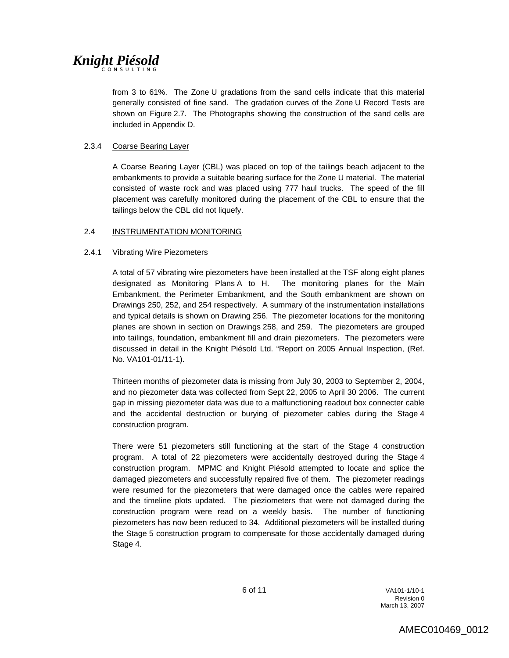from 3 to 61%. The Zone U gradations from the sand cells indicate that this material generally consisted of fine sand. The gradation curves of the Zone U Record Tests are shown on Figure 2.7. The Photographs showing the construction of the sand cells are included in Appendix D.

### 2.3.4 Coarse Bearing Layer

A Coarse Bearing Layer (CBL) was placed on top of the tailings beach adjacent to the embankments to provide a suitable bearing surface for the Zone U material. The material consisted of waste rock and was placed using 777 haul trucks. The speed of the fill placement was carefully monitored during the placement of the CBL to ensure that the tailings below the CBL did not liquefy.

### 2.4 INSTRUMENTATION MONITORING

### 2.4.1 Vibrating Wire Piezometers

A total of 57 vibrating wire piezometers have been installed at the TSF along eight planes designated as Monitoring Plans A to H. The monitoring planes for the Main Embankment, the Perimeter Embankment, and the South embankment are shown on Drawings 250, 252, and 254 respectively. A summary of the instrumentation installations and typical details is shown on Drawing 256. The piezometer locations for the monitoring planes are shown in section on Drawings 258, and 259. The piezometers are grouped into tailings, foundation, embankment fill and drain piezometers. The piezometers were discussed in detail in the Knight Piésold Ltd. "Report on 2005 Annual Inspection, (Ref. No. VA101-01/11-1).

Thirteen months of piezometer data is missing from July 30, 2003 to September 2, 2004, and no piezometer data was collected from Sept 22, 2005 to April 30 2006. The current gap in missing piezometer data was due to a malfunctioning readout box connecter cable and the accidental destruction or burying of piezometer cables during the Stage 4 construction program.

There were 51 piezometers still functioning at the start of the Stage 4 construction program. A total of 22 piezometers were accidentally destroyed during the Stage 4 construction program. MPMC and Knight Piésold attempted to locate and splice the damaged piezometers and successfully repaired five of them. The piezometer readings were resumed for the piezometers that were damaged once the cables were repaired and the timeline plots updated. The pieziometers that were not damaged during the construction program were read on a weekly basis. The number of functioning piezometers has now been reduced to 34. Additional piezometers will be installed during the Stage 5 construction program to compensate for those accidentally damaged during Stage 4.

 6 of 11 VA101-1/10-1 **Revision 0 Revision 0** March 13, 2007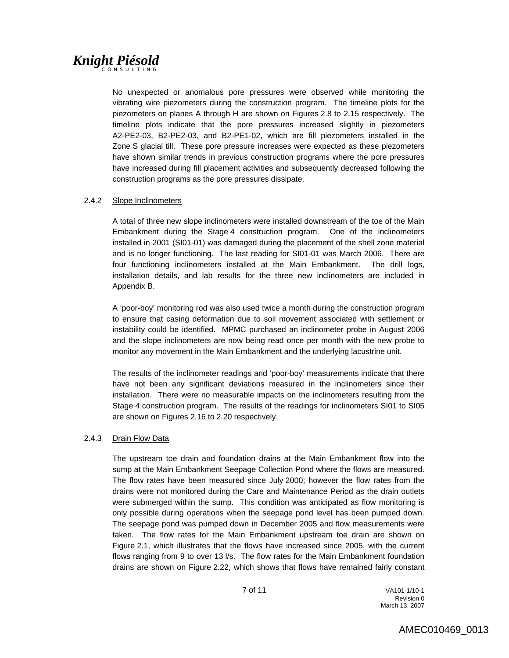No unexpected or anomalous pore pressures were observed while monitoring the vibrating wire piezometers during the construction program. The timeline plots for the piezometers on planes A through H are shown on Figures 2.8 to 2.15 respectively. The timeline plots indicate that the pore pressures increased slightly in piezometers A2-PE2-03, B2-PE2-03, and B2-PE1-02, which are fill piezometers installed in the Zone S glacial till. These pore pressure increases were expected as these piezometers have shown similar trends in previous construction programs where the pore pressures have increased during fill placement activities and subsequently decreased following the construction programs as the pore pressures dissipate.

### 2.4.2 Slope Inclinometers

A total of three new slope inclinometers were installed downstream of the toe of the Main Embankment during the Stage 4 construction program. One of the inclinometers installed in 2001 (SI01-01) was damaged during the placement of the shell zone material and is no longer functioning. The last reading for SI01-01 was March 2006. There are four functioning inclinometers installed at the Main Embankment. The drill logs, installation details, and lab results for the three new inclinometers are included in Appendix B.

A 'poor-boy' monitoring rod was also used twice a month during the construction program to ensure that casing deformation due to soil movement associated with settlement or instability could be identified. MPMC purchased an inclinometer probe in August 2006 and the slope inclinometers are now being read once per month with the new probe to monitor any movement in the Main Embankment and the underlying lacustrine unit.

The results of the inclinometer readings and 'poor-boy' measurements indicate that there have not been any significant deviations measured in the inclinometers since their installation. There were no measurable impacts on the inclinometers resulting from the Stage 4 construction program. The results of the readings for inclinometers SI01 to SI05 are shown on Figures 2.16 to 2.20 respectively.

### 2.4.3 Drain Flow Data

The upstream toe drain and foundation drains at the Main Embankment flow into the sump at the Main Embankment Seepage Collection Pond where the flows are measured. The flow rates have been measured since July 2000; however the flow rates from the drains were not monitored during the Care and Maintenance Period as the drain outlets were submerged within the sump. This condition was anticipated as flow monitoring is only possible during operations when the seepage pond level has been pumped down. The seepage pond was pumped down in December 2005 and flow measurements were taken. The flow rates for the Main Embankment upstream toe drain are shown on Figure 2.1, which illustrates that the flows have increased since 2005, with the current flows ranging from 9 to over 13 l/s. The flow rates for the Main Embankment foundation drains are shown on Figure 2.22, which shows that flows have remained fairly constant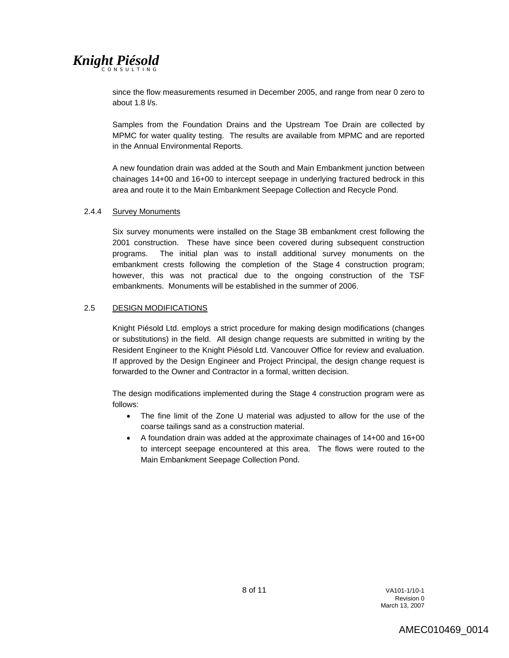since the flow measurements resumed in December 2005, and range from near 0 zero to about 1.8 l/s.

Samples from the Foundation Drains and the Upstream Toe Drain are collected by MPMC for water quality testing. The results are available from MPMC and are reported in the Annual Environmental Reports.

A new foundation drain was added at the South and Main Embankment junction between chainages 14+00 and 16+00 to intercept seepage in underlying fractured bedrock in this area and route it to the Main Embankment Seepage Collection and Recycle Pond.

### 2.4.4 Survey Monuments

Six survey monuments were installed on the Stage 3B embankment crest following the 2001 construction. These have since been covered during subsequent construction programs. The initial plan was to install additional survey monuments on the embankment crests following the completion of the Stage 4 construction program; however, this was not practical due to the ongoing construction of the TSF embankments. Monuments will be established in the summer of 2006.

### 2.5 DESIGN MODIFICATIONS

Knight Piésold Ltd. employs a strict procedure for making design modifications (changes or substitutions) in the field. All design change requests are submitted in writing by the Resident Engineer to the Knight Piésold Ltd. Vancouver Office for review and evaluation. If approved by the Design Engineer and Project Principal, the design change request is forwarded to the Owner and Contractor in a formal, written decision.

The design modifications implemented during the Stage 4 construction program were as follows:

- The fine limit of the Zone U material was adjusted to allow for the use of the coarse tailings sand as a construction material.
- A foundation drain was added at the approximate chainages of 14+00 and 16+00 to intercept seepage encountered at this area. The flows were routed to the Main Embankment Seepage Collection Pond.

 8 of 11 VA101-1/10-1 **Revision 0 Revision 0** March 13, 2007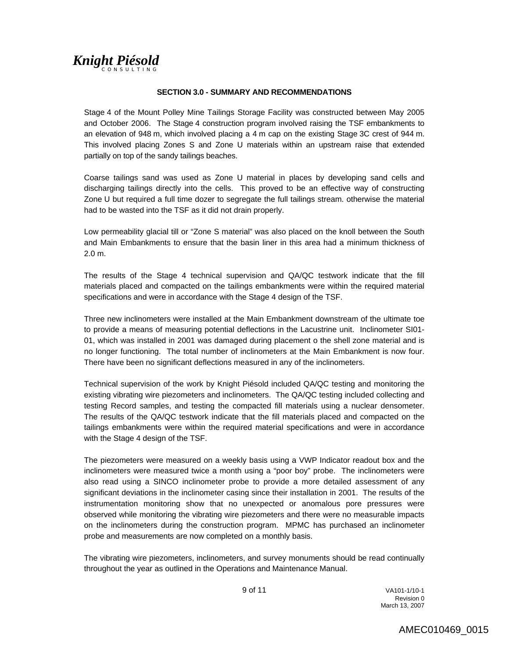### **SECTION 3.0 - SUMMARY AND RECOMMENDATIONS**

Stage 4 of the Mount Polley Mine Tailings Storage Facility was constructed between May 2005 and October 2006. The Stage 4 construction program involved raising the TSF embankments to an elevation of 948 m, which involved placing a 4 m cap on the existing Stage 3C crest of 944 m. This involved placing Zones S and Zone U materials within an upstream raise that extended partially on top of the sandy tailings beaches.

Coarse tailings sand was used as Zone U material in places by developing sand cells and discharging tailings directly into the cells. This proved to be an effective way of constructing Zone U but required a full time dozer to segregate the full tailings stream. otherwise the material had to be wasted into the TSF as it did not drain properly.

Low permeability glacial till or "Zone S material" was also placed on the knoll between the South and Main Embankments to ensure that the basin liner in this area had a minimum thickness of 2.0 m.

The results of the Stage 4 technical supervision and QA/QC testwork indicate that the fill materials placed and compacted on the tailings embankments were within the required material specifications and were in accordance with the Stage 4 design of the TSF.

Three new inclinometers were installed at the Main Embankment downstream of the ultimate toe to provide a means of measuring potential deflections in the Lacustrine unit. Inclinometer SI01- 01, which was installed in 2001 was damaged during placement o the shell zone material and is no longer functioning. The total number of inclinometers at the Main Embankment is now four. There have been no significant deflections measured in any of the inclinometers.

Technical supervision of the work by Knight Piésold included QA/QC testing and monitoring the existing vibrating wire piezometers and inclinometers. The QA/QC testing included collecting and testing Record samples, and testing the compacted fill materials using a nuclear densometer. The results of the QA/QC testwork indicate that the fill materials placed and compacted on the tailings embankments were within the required material specifications and were in accordance with the Stage 4 design of the TSF.

The piezometers were measured on a weekly basis using a VWP Indicator readout box and the inclinometers were measured twice a month using a "poor boy" probe. The inclinometers were also read using a SINCO inclinometer probe to provide a more detailed assessment of any significant deviations in the inclinometer casing since their installation in 2001. The results of the instrumentation monitoring show that no unexpected or anomalous pore pressures were observed while monitoring the vibrating wire piezometers and there were no measurable impacts on the inclinometers during the construction program. MPMC has purchased an inclinometer probe and measurements are now completed on a monthly basis.

The vibrating wire piezometers, inclinometers, and survey monuments should be read continually throughout the year as outlined in the Operations and Maintenance Manual.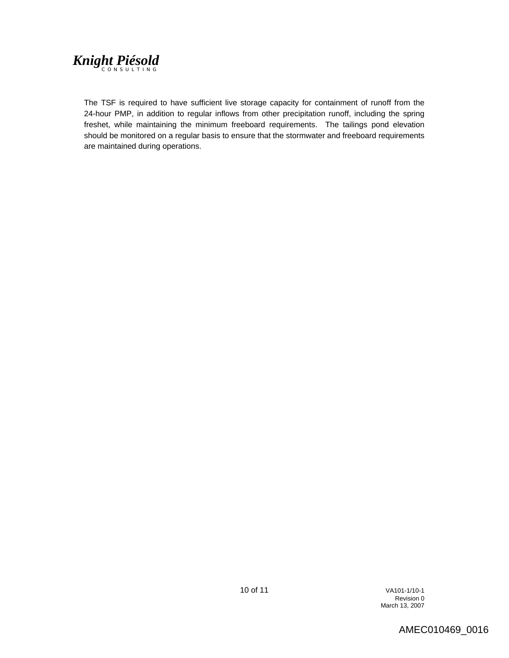

The TSF is required to have sufficient live storage capacity for containment of runoff from the 24-hour PMP, in addition to regular inflows from other precipitation runoff, including the spring freshet, while maintaining the minimum freeboard requirements. The tailings pond elevation should be monitored on a regular basis to ensure that the stormwater and freeboard requirements are maintained during operations.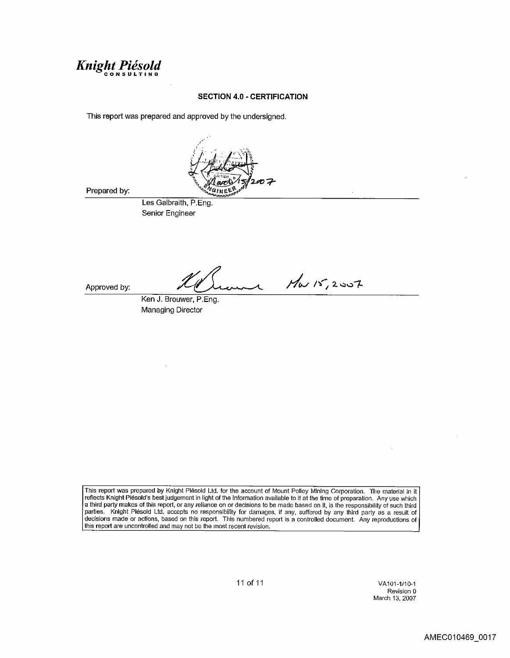

### **SECTION 4.0 - CERTIFICATION**

This report was prepared and approved by the undersigned.



Prepared by:

Les Galbraith, P.Eng. Senior Engineer

Approved by:

 $M_{W}$  15, 2007

Ken J. Brouwer, P.Eng. **Managing Director** 

This report was prepared by Knight Plésold Ltd. for the account of Mount Polley Mining Corporation. The material in it reflects Knight Piesold's best judgement in light of the information available to it at the time of preparation. Any use which a third party makes of this report, or any reliance on or decisions to be made based on it, is the responsibility of such third parties. Knight Piésold Ltd. accepts no responsibility for damages, if any, suffered by any third party as a result of decisions made or actions, based on this report. This numbered report is a controlled document. Any rep

11 of 11

VA101-1/10-1 Revision 0 March 13, 2007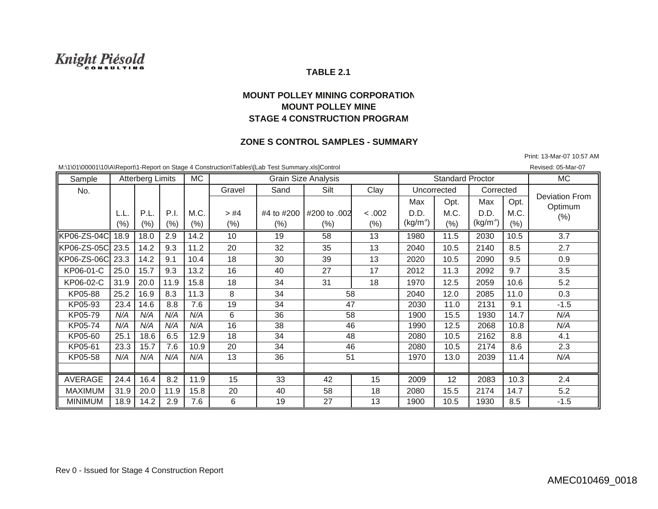### **TABLE 2.1**

### **MOUNT POLLEY MINING CORPORATIONMOUNT POLLEY MINESTAGE 4 CONSTRUCTION PROGRAM**

### **ZONE S CONTROL SAMPLES - SUMMARY**

Print: 13-Mar-07 10:57 AM

M:\1\01\00001\10\A\Report\1-Report on Stage 4 Construction\Tables\[Lab Test Summary.xls]Control Revised: 05-Mar-07 Revised: 05-Mar-07

Sample Atterberg Limits MC Grain Size Analysis Contact Analysis Standard Proctor NC No.. | | | | | Gravel | Sand | Silt | Clay | Uncorrected Max | Opt. | Max | Opt. L.L. P.L. P.I. M.C. > #4 #4 to #200 #200 to .002 < .002 D.D. M.C. D.D. M.C. (%) (%) (%) (%) (%) (%) (%) (%) (kg/m<sup>3</sup>  $(kg/m^{3})$  (%)  $(kg/m^{3})$  $(% )$ KP06-ZS-04C| 18.9 | 18.0 | 2.9 | 14.2 | 10 | 19 | 58 | 13 | 1980 | 1.5 | 2030 | 10.5 | 3.7 KP06-ZS-05Cl23.5 I 14.2 I 9.3 I 11.2 I 20 I 32 I 35 I 13 I 2040 I 10.5 I 2140 I 8.5 I 2.7 KP06-ZS-06Cl23.3 I 14.2 I 9.1 I 10.4 I 18 I 30 I 39 I 13 I 2020 I 10.5 I 2090 I 9.5 I 0.9 KP06-01-C I 25.0 I 15.7 I 9.3 I 13.2 I 16 I 40 I 27 I 17 I 2012 I 11.3 I 2092 I 9.7 I 3.5 KP06-02-C I31.9 I 20.0 I 11.9 I 15.8 I 18 I 34 I 31 I 18 I 1970 I 12.5 I 2059 I 10.6 I 5.2  $KP05-88$  25.2 16.9 8.3 11.3 8 34 2040 12.0 2085 11.0 0.3 KP05-93 23.4 14.6 8.8 7.6 19 34 2030 11.0 2131 9.1 -1.5 KP05-79 *N/A N/A N/A N/A*6 36 1900 15.5 1930 14.7 *N/A*KP05-74 *N/A N/A N/A N/A* 16 38 1990 12.5 2068 10.8 *N/A* KP05-60 25.1 18.6 6.5 12.9 18 34 4 | 48 | 2080 | 10.5 | 2162 | 8.8 | 4.1 KP05-61 23.3 15.7 7.6 10.9 20 34 2080 10.5 2174 8.6 2.3 KP05-58 *N/A N/A N/A N/A* 13 36 1970 13.0 2039 11.4 *N/A* AVERAGE | 24.4 | 16.4 | 8.2 | 11.9 | 15 | 33 | 42 | 15 | 2009 | 12 | 2083 | 10.3 | 2.4 MAXIMUM 131.9 120.0 1 11.9 1 15.8 1 20 1 40 1 58 1 18 1 2080 1 15.5 1 2174 114.7 1 5.2 MINIMUM | 18.9 | 14.2 | 2.9 | 7.6 | 6 19 27 13 1900 10.5 1930 8.5 -1.5 58Atterberg Limits Deviation FromOptimum (%) Standard Proctor **Corrected** 465147584648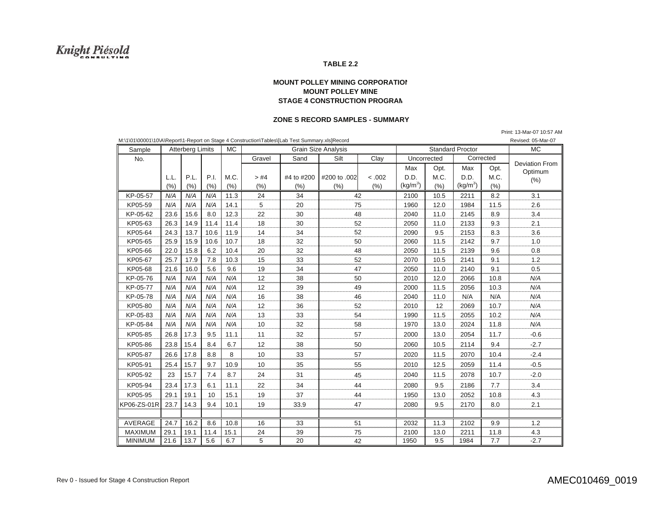#### **TABLE 2.2**

#### **MOUNT POLLEY MINING CORPORATIONMOUNT POLLEY MIN E STAGE 4 CONSTRUCTION PROGRA M**

#### **ZONE S RECORD SAMPLES - SUMMARY**

Print: 13-Mar-07 10:57 AM

| M:\1\01\00001\10\A\Report\1-Report on Stage 4 Construction\Tables\[Lab Test Summary.xls]Record |      |                         |      |           |                            |            |              |        | Revised: 05-Mar-07      |      |                      |      |                       |
|------------------------------------------------------------------------------------------------|------|-------------------------|------|-----------|----------------------------|------------|--------------|--------|-------------------------|------|----------------------|------|-----------------------|
| Sample                                                                                         |      | <b>Atterberg Limits</b> |      | <b>MC</b> | <b>Grain Size Analysis</b> |            |              |        | <b>Standard Proctor</b> |      |                      |      | <b>MC</b>             |
| No.                                                                                            |      |                         |      |           | Gravel                     | Sand       | Clay<br>Silt |        | Uncorrected             |      | Corrected            |      | <b>Deviation From</b> |
|                                                                                                |      |                         |      |           |                            |            |              |        | Max                     | Opt. | Max                  | Opt. | Optimum               |
|                                                                                                | L.L. | P.L.                    | P.I. | M.C.      | > #4                       | #4 to #200 | #200 to .002 | < .002 | D.D.                    | M.C. | D.D.                 | M.C. | (% )                  |
|                                                                                                | (% ) | (% )                    | (% ) | (%)       | (% )                       | (% )       | (%)          | (% )   | (kg/m <sup>3</sup> )    | (% ) | (kg/m <sup>3</sup> ) | (% ) |                       |
| KP-05-57                                                                                       | N/A  | N/A                     | N/A  | 11.3      | 24                         | 34         | 42           |        | 2100                    | 10.5 | 2211                 | 8.2  | 3.1                   |
| KP05-59                                                                                        | N/A  | N/A                     | N/A  | 14.1      | 5                          | 20         | 75           |        | 1960                    | 12.0 | 1984                 | 11.5 | 2.6                   |
| KP-05-62                                                                                       | 23.6 | 15.6                    | 8.0  | 12.3      | 22                         | 30         | 48           |        | 2040                    | 11.0 | 2145                 | 8.9  | 3.4                   |
| KP05-63                                                                                        | 26.3 | 14.9                    | 11.4 | 11.4      | 18                         | 30         | 52           |        | 2050                    | 11.0 | 2133                 | 9.3  | 2.1                   |
| KP05-64                                                                                        | 24.3 | 13.7                    | 10.6 | 11.9      | 14                         | 34         | 52           |        | 2090                    | 9.5  | 2153                 | 8.3  | 3.6                   |
| KP05-65                                                                                        | 25.9 | 15.9                    | 10.6 | 10.7      | 18                         | 32         | 50           |        | 2060                    | 11.5 | 2142                 | 9.7  | 1.0                   |
| KP05-66                                                                                        | 22.0 | 15.8                    | 6.2  | 10.4      | 20                         | 32         |              | 48     |                         | 11.5 | 2139                 | 9.6  | 0.8                   |
| KP05-67                                                                                        | 25.7 | 17.9                    | 7.8  | 10.3      | 15                         | 33         | 52           |        | 2070                    | 10.5 | 2141                 | 9.1  | 1.2                   |
| KP05-68                                                                                        | 21.6 | 16.0                    | 5.6  | 9.6       | 19                         | 34         | 47           |        | 2050                    | 11.0 | 2140                 | 9.1  | 0.5                   |
| KP-05-76                                                                                       | N/A  | N/A                     | N/A  | N/A       | 12                         | 38         | 50           |        | 2010                    | 12.0 | 2066                 | 10.8 | N/A                   |
| KP-05-77                                                                                       | N/A  | N/A                     | N/A  | N/A       | 12                         | 39         | 49           |        | 2000                    | 11.5 | 2056                 | 10.3 | N/A                   |
| KP-05-78                                                                                       | N/A  | N/A                     | N/A  | N/A       | 16                         | 38         | 46           |        | 2040                    | 11.0 | N/A                  | N/A  | N/A                   |
| KP05-80                                                                                        | N/A  | N/A                     | N/A  | N/A       | 12                         | 36         | 52           |        | 2010                    | 12   | 2069                 | 10.7 | N/A                   |
| KP-05-83                                                                                       | N/A  | N/A                     | N/A  | N/A       | 13                         | 33         | 54           |        | 1990                    | 11.5 | 2055                 | 10.2 | N/A                   |
| KP-05-84                                                                                       | N/A  | N/A                     | N/A  | N/A       | 10                         | 32         | 58           |        | 1970                    | 13.0 | 2024                 | 11.8 | N/A                   |
| KP05-85                                                                                        | 26.8 | 17.3                    | 9.5  | 11.1      | 11                         | 32         | 57           |        | 2000                    | 13.0 | 2054                 | 11.7 | $-0.6$                |
| KP05-86                                                                                        | 23.8 | 15.4                    | 8.4  | 6.7       | 12                         | 38         | 50           |        | 2060                    | 10.5 | 2114                 | 9.4  | $-2.7$                |
| KP05-87                                                                                        | 26.6 | 17.8                    | 8.8  | 8         | 10                         | 33         | 57           |        | 2020                    | 11.5 | 2070                 | 10.4 | $-2.4$                |
| KP05-91                                                                                        | 25.4 | 15.7                    | 9.7  | 10.9      | 10                         | 35         | 55           |        | 2010                    | 12.5 | 2059                 | 11.4 | $-0.5$                |
| KP05-92                                                                                        | 23   | 15.7                    | 7.4  | 8.7       | 24                         | 31         | 45           |        | 2040                    | 11.5 | 2078                 | 10.7 | $-2.0$                |
| KP05-94                                                                                        | 23.4 | 17.3                    | 6.1  | 11.1      | 22                         | 34         | 44           |        | 2080                    | 9.5  | 2186                 | 7.7  | 3.4                   |
| KP05-95                                                                                        | 29.1 | 19.1                    | 10   | 15.1      | 19                         | 37         | 44           |        | 1950                    | 13.0 | 2052                 | 10.8 | 4.3                   |
| KP06-ZS-01R                                                                                    | 23.7 | 14.3                    | 9.4  | 10.1      | 19                         | 33.9       | 47           |        | 2080                    | 9.5  | 2170                 | 8.0  | 2.1                   |
|                                                                                                |      |                         |      |           |                            |            |              |        |                         |      |                      |      |                       |
| AVERAGE                                                                                        | 24.7 | 16.2                    | 8.6  | 10.8      | 16                         | 33         | 51           |        | 2032                    | 11.3 | 2102                 | 9.9  | 1.2                   |
| <b>MAXIMUM</b>                                                                                 | 29.1 | 19.1                    | 11.4 | 15.1      | 24                         | 39         | 75           |        | 2100                    | 13.0 | 2211                 | 11.8 | 4.3                   |
| <b>MINIMUM</b>                                                                                 | 21.6 | 13.7                    | 5.6  | 6.7       | 5                          | 20         | 42           |        | 1950                    | 9.5  | 1984                 | 7.7  | $-2.7$                |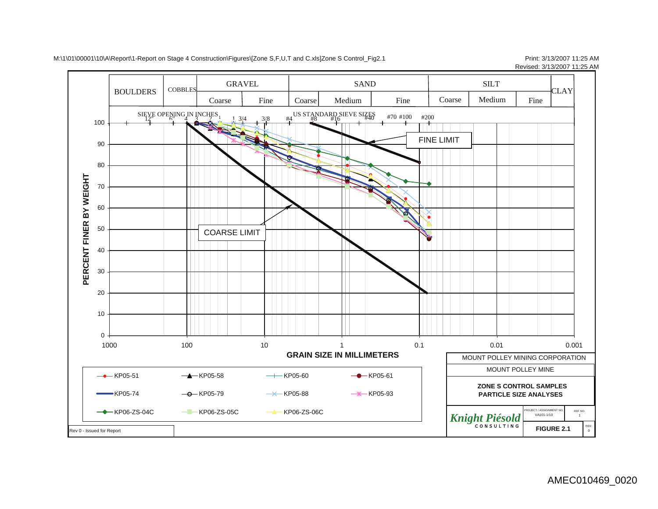

#### M:\1\01\00001\10\A\Report\1-Report on Stage 4 Construction\Figures\[Zone S,F,U,T and C.xls]Zone S Control\_Fig2.1 Print: 3/13/2007 11:25 AM

Revised: 3/13/2007 11:25 AM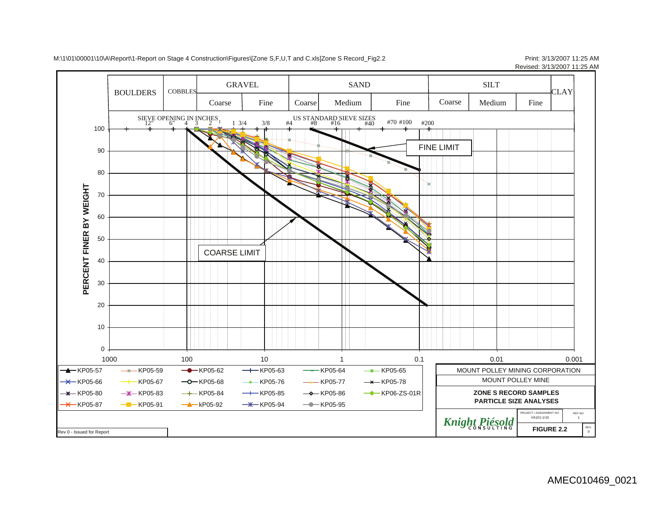

M:\1\01\00001\10\A\Report\1-Report on Stage 4 Construction\Figures\[Zone S,F,U,T and C.xls]Zone S Record\_Fig2.2 Print: 3/13/2007 11:25 AM

Revised: 3/13/2007 11:25 AM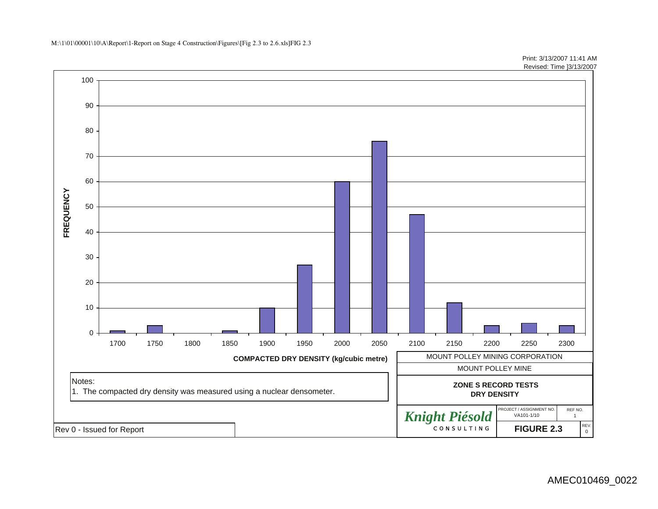M:\1\01\00001\10\A\Report\1-Report on Stage 4 Construction\Figures\[Fig 2.3 to 2.6.xls]FIG 2.3

100 9080 7060 FREQUENCY **FREQUENCY** 50 40 30 20 10 02300 1700 1750 1800 1850 1900 1950 2000 2050 2100 2150 2200 2250 2300**COMPACTED DRY DENSITY (kg/cubic metre)** MOUNT POLLEY MINING CORPORATION MOUNT POLLEY MINE Notes:  **ZONE S RECORD TESTS** 1. The compacted dry density was measured using a nuclear densometer. **DRY DENSITY** PROJECT / ASSIGNMENT NO. REF NO. *Knight Piésold* <u>CONSULTING</u> CONSULTING FIGURE 2.3 VA101-1/10**FIGURE 2.3**REV. 0 Rev 0 - Issued for Report

Print: 3/13/2007 11:41 AM Revised: Time ]3/13/2007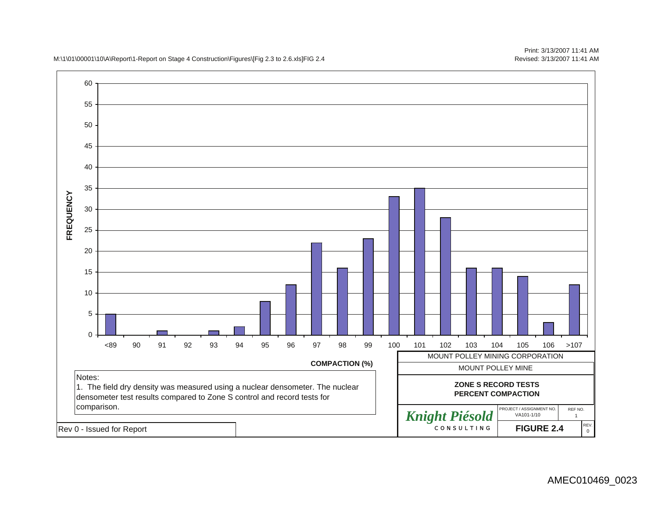M:\1\01\00001\10\A\Report\1-Report on Stage 4 Construction\Figures\[Fig 2.3 to 2.6.xls]FIG 2.4



Print: 3/13/2007 11:41 AMRevised: 3/13/2007 11:41 AM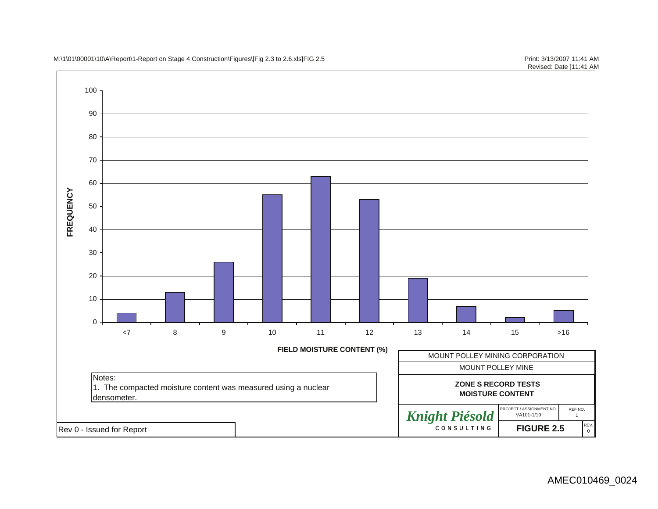M:\1\01\00001\10\A\Report\1-Report on Stage 4 Construction\Figures\[Fig 2.3 to 2.6.xls]FIG 2.5 Print: 3/13/2007 11:41 AM

100 908070 60 **FREQUENCY FREQUENCY** 50 40 3020100<7 8 9 10 11 12 13 14 15 >16**FIELD MOISTURE CONTENT (%)** MOUNT POLLEY MINING CORPORATION MOUNT POLLEY MINE Notes:  **ZONE S RECORD TESTS** 1. The compacted moisture content was measured using a nuclear **MOISTURE CONTENT** densometer. PROJECT / ASSIGNMENT NO. REF NO.VA101-1/10*Knight Piésold* <u>VA101-1/10</u> 1 Rev 0 - Issued for Report REV. 0 **FIGURE 2.5**

Revised: Date ]11:41 AM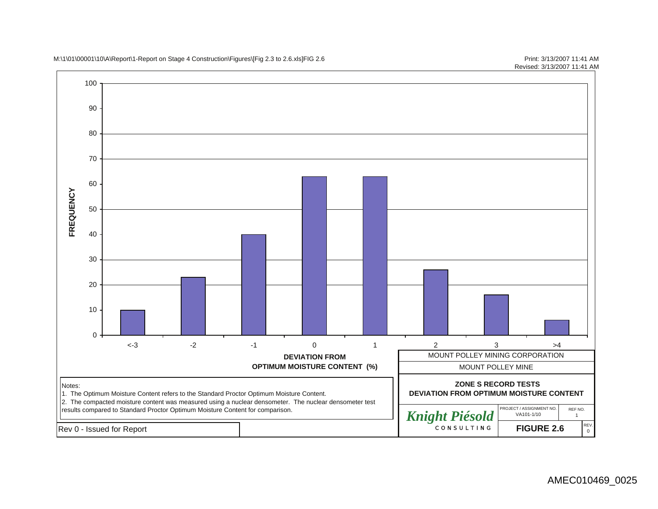M:\1\01\00001\10\A\Report\1-Report on Stage 4 Construction\Figures\[Fig 2.3 to 2.6.xls]FIG 2.6 Print: 3/13/2007 11:41 AM

Revised: 3/13/2007 11:41 AM

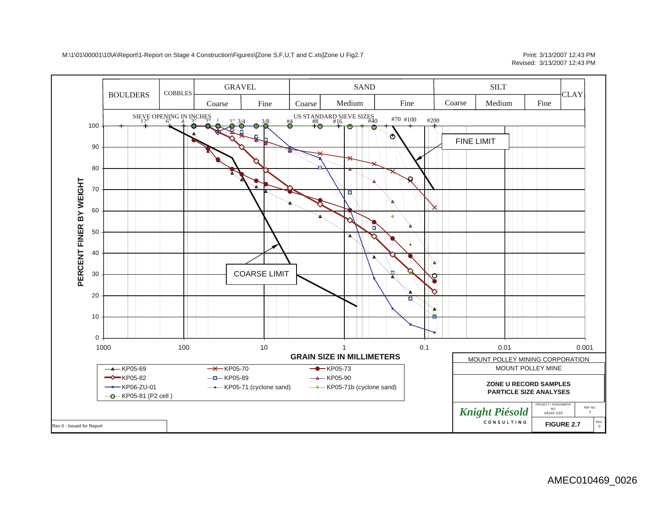### Revised: 3/13/2007 12:43 PM

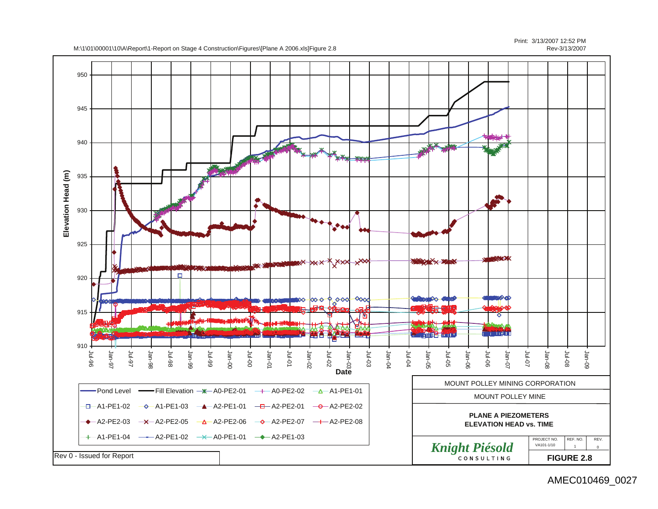

Print: 3/13/2007 12:52 PMRev-3/13/2007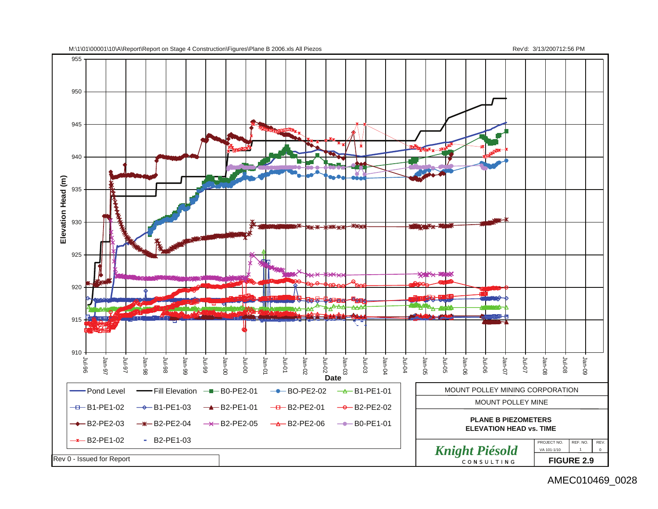

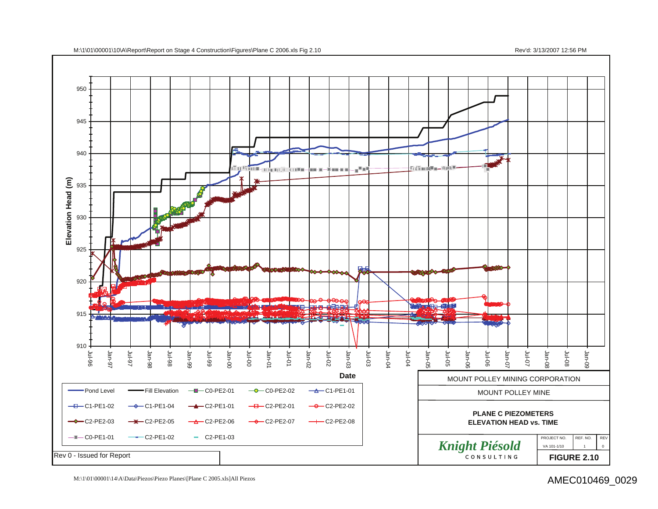

M:\1\01\00001\14\A\Data\Piezos\Piezo Planes\[Plane C 2005.xls]All Piezos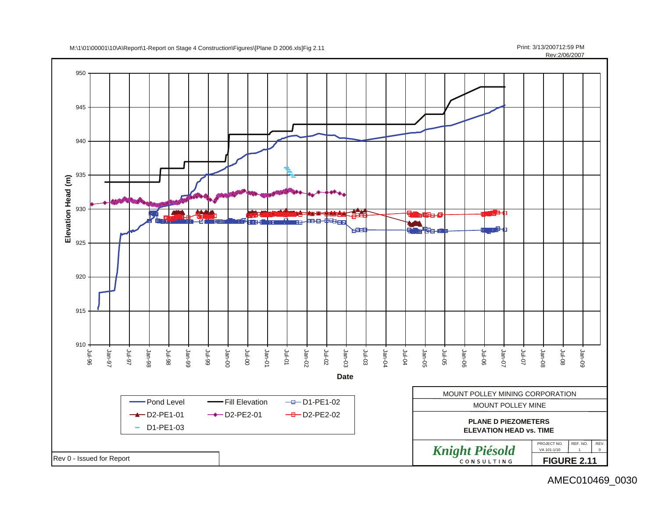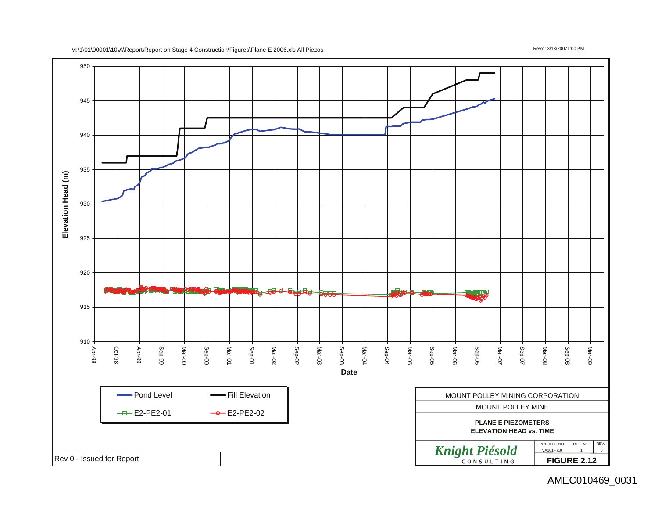

#### M:\1\01\00001\10\A\Report\Report on Stage 4 Construction\Figures\Plane E 2006.xls All Piezos Rev'd: 3/13/20071:00 PM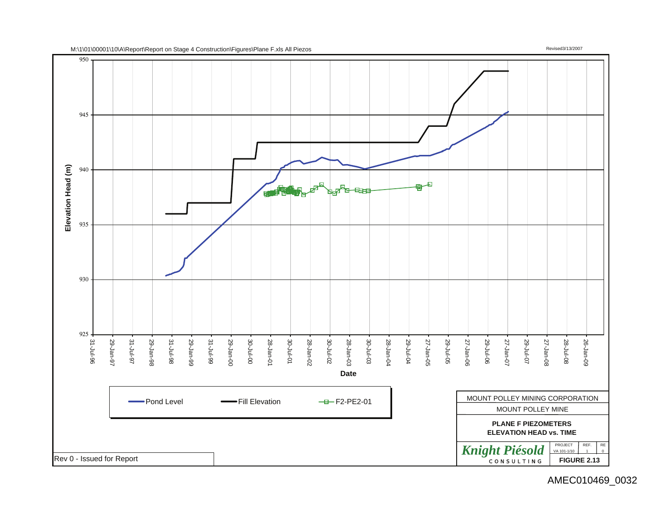

M:\1\01\00001\10\A\Report\Report on Stage 4 Construction\Figures\Plane F.xls All Piezos Revised3/13/2007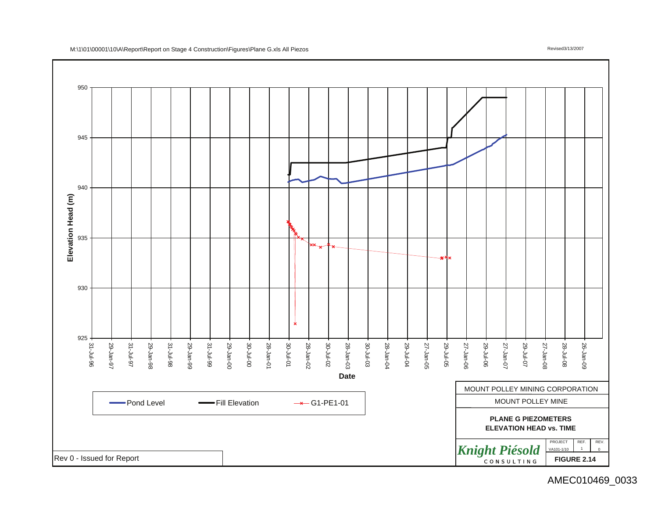

#### M:\1\01\00001\10\A\Report\Report on Stage 4 Construction\Figures\Plane G.xls All Piezos Revised3/13/2007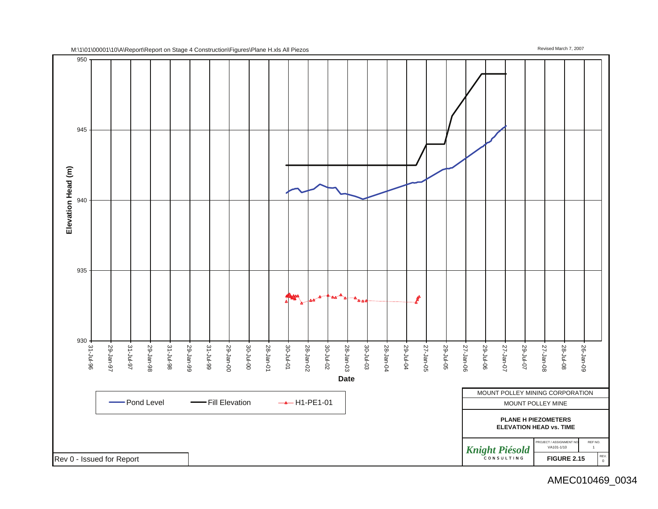

M:\1\01\00001\10\A\Report\Report on Stage 4 Construction\Figures\Plane H.xls All Piezos Revised March 7, 2007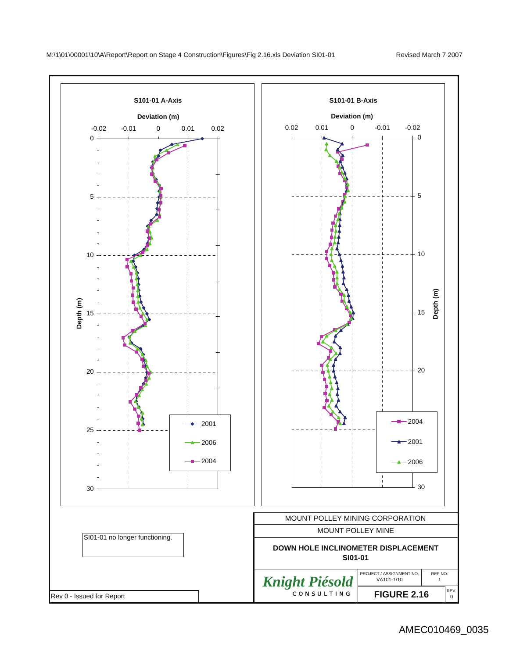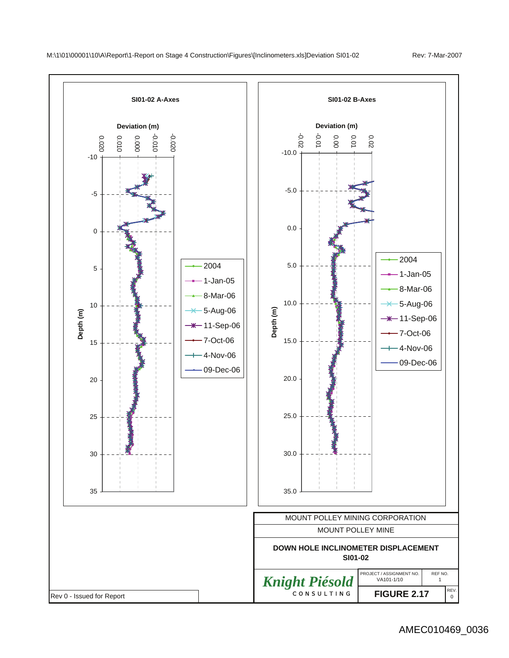

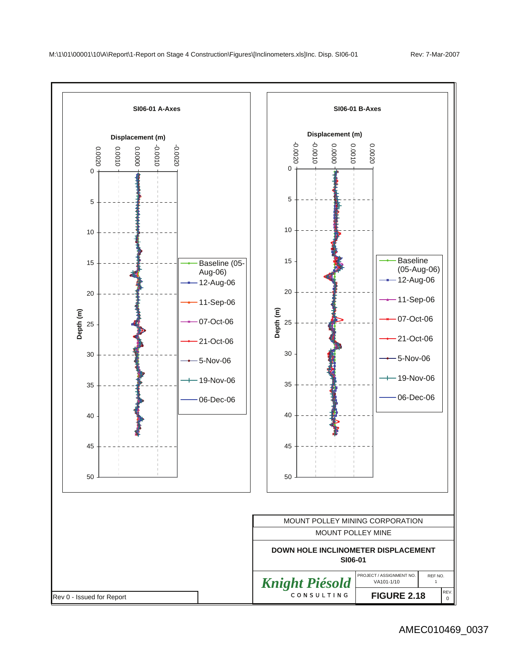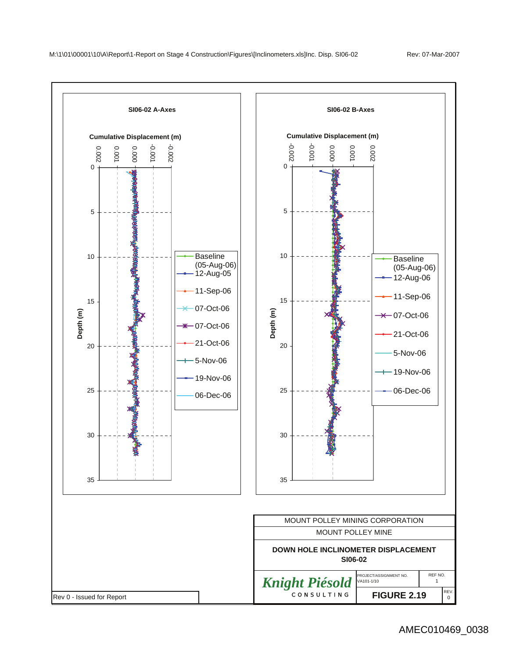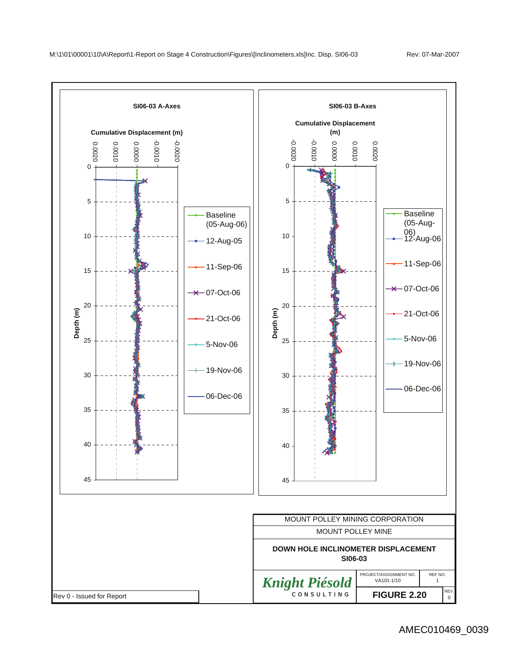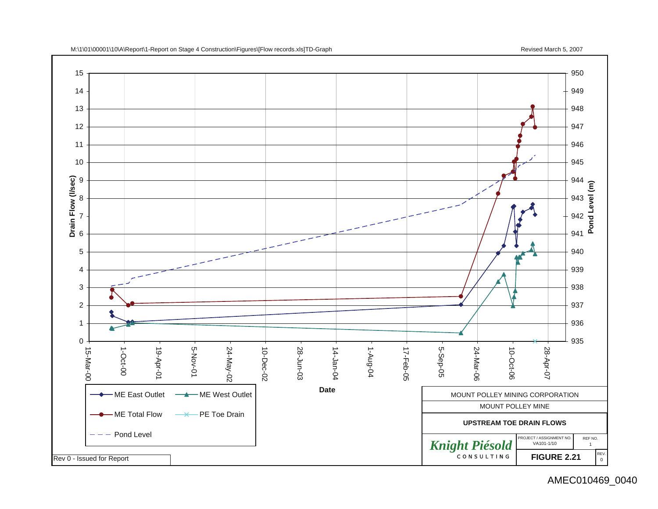